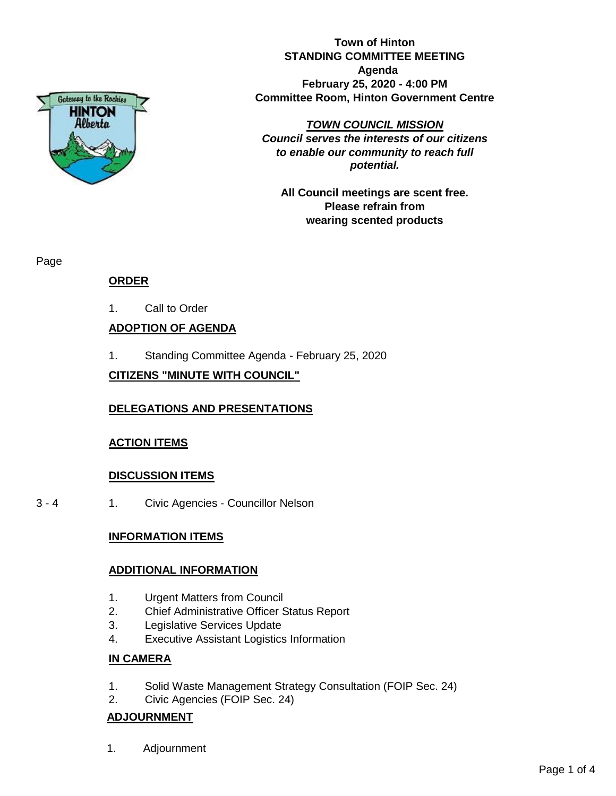

**Town of Hinton STANDING COMMITTEE MEETING Agenda February 25, 2020 - 4:00 PM Committee Room, Hinton Government Centre**

*TOWN COUNCIL MISSION*

*Council serves the interests of our citizens to enable our community to reach full potential.*

**All Council meetings are scent free. Please refrain from wearing scented products**

Page

# **ORDER**

1. Call to Order

# **ADOPTION OF AGENDA**

1. Standing Committee Agenda - February 25, 2020

# **CITIZENS "MINUTE WITH COUNCIL"**

# **DELEGATIONS AND PRESENTATIONS**

# **ACTION ITEMS**

# **DISCUSSION ITEMS**

3 - 4 1. Civic Agencies - Councillor Nelson

### **INFORMATION ITEMS**

### **ADDITIONAL INFORMATION**

- 1. Urgent Matters from Council
- 2. Chief Administrative Officer Status Report
- 3. Legislative Services Update
- 4. Executive Assistant Logistics Information

### **IN CAMERA**

- 1. Solid Waste Management Strategy Consultation (FOIP Sec. 24)
- 2. Civic Agencies (FOIP Sec. 24)

# **ADJOURNMENT**

1. Adjournment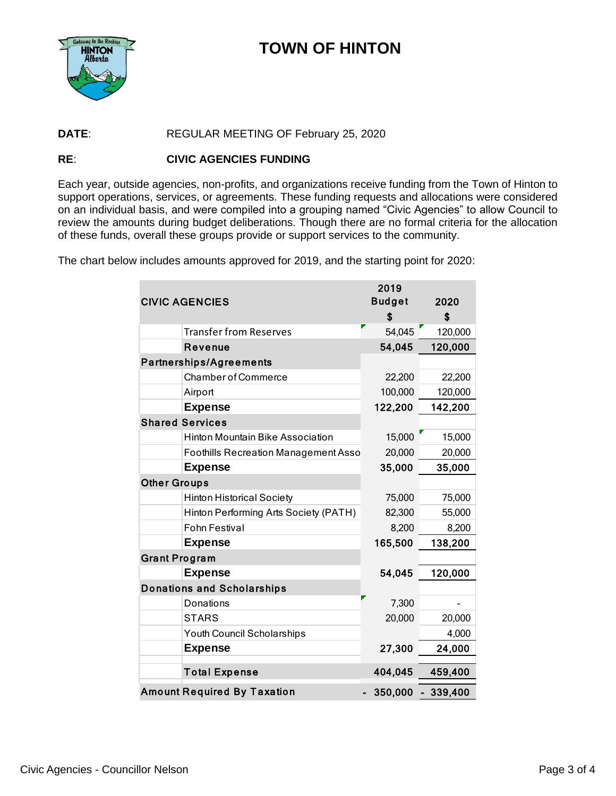

# **TOWN OF HINTON**

#### DATE: REGULAR MEETING OF February 25, 2020

#### RE: **CIVIC AGENCIES FUNDING**

Each year, outside agencies, non-profits, and organizations receive funding from the Town of Hinton to support operations, services, or agreements. These funding requests and allocations were considered on an individual basis, and were compiled into a grouping named "Civic Agencies" to allow Council to review the amounts during budget deliberations. Though there are no formal criteria for the allocation of these funds, overall these groups provide or support services to the community.

The chart below includes amounts approved for 2019, and the starting point for 2020:

|                                             | 2019          |            |
|---------------------------------------------|---------------|------------|
| <b>CIVIC AGENCIES</b>                       | <b>Budget</b> | 2020       |
|                                             | \$            | \$         |
| <b>Transfer from Reserves</b>               | 54,045        | 120,000    |
| <b>Revenue</b>                              | 54,045        | 120,000    |
| <b>Partnerships/Agreements</b>              |               |            |
| <b>Chamber of Commerce</b>                  | 22,200        | 22,200     |
| Airport                                     | 100,000       | 120,000    |
| <b>Expense</b>                              | 122,200       | 142,200    |
| <b>Shared Services</b>                      |               |            |
| <b>Hinton Mountain Bike Association</b>     | 15,000        | 15,000     |
| <b>Foothills Recreation Management Asso</b> | 20,000        | 20,000     |
| <b>Expense</b>                              | 35,000        | 35,000     |
| <b>Other Groups</b>                         |               |            |
| <b>Hinton Historical Society</b>            | 75,000        | 75,000     |
| Hinton Performing Arts Society (PATH)       | 82,300        | 55,000     |
| <b>Fohn Festival</b>                        | 8,200         | 8,200      |
| <b>Expense</b>                              | 165,500       | 138,200    |
| <b>Grant Program</b>                        |               |            |
| <b>Expense</b>                              | 54,045        | 120,000    |
| <b>Donations and Scholarships</b>           |               |            |
| Donations                                   | 7,300         |            |
| <b>STARS</b>                                | 20,000        | 20,000     |
| Youth Council Scholarships                  |               | 4,000      |
| <b>Expense</b>                              | 27,300        | 24,000     |
| <b>Total Expense</b>                        | 404,045       | 459,400    |
| <b>Amount Required By Taxation</b>          | 350,000       | $-339,400$ |
|                                             |               |            |